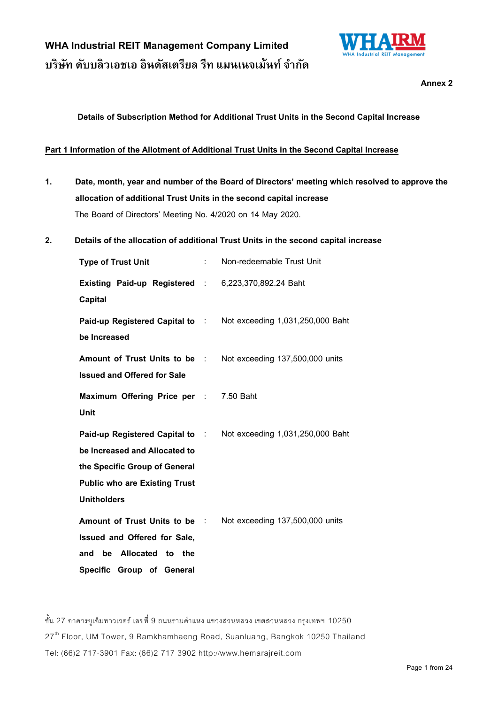

Annex<sub>2</sub>

**Details of Subscription Method for Additional Trust Units in the Second Capital Increase**

#### **Part 1 Information of the Allotment of Additional Trust Units in the Second Capital Increase**

- **1. Date, month, year and number of the Board of Directors' meeting which resolved to approve the allocation of additional Trust Units in the second capital increase**  The Board of Directors' Meeting No. 4/2020 on 14 May 2020.
- **2. Details of the allocation of additional Trust Units in the second capital increase**

| <b>Type of Trust Unit</b>                                             | tion is | Non-redeemable Trust Unit                                               |
|-----------------------------------------------------------------------|---------|-------------------------------------------------------------------------|
| Existing Paid-up Registered : 6,223,370,892.24 Baht<br><b>Capital</b> |         |                                                                         |
| be Increased                                                          |         | <b>Paid-up Registered Capital to : Not exceeding 1,031,250,000 Baht</b> |
| Amount of Trust Units to be :<br><b>Issued and Offered for Sale</b>   |         | Not exceeding 137,500,000 units                                         |
| Maximum Offering Price per : 7.50 Baht<br>Unit                        |         |                                                                         |
| Paid-up Registered Capital to :                                       |         | Not exceeding 1,031,250,000 Baht                                        |
| be Increased and Allocated to                                         |         |                                                                         |
| the Specific Group of General                                         |         |                                                                         |
| <b>Public who are Existing Trust</b>                                  |         |                                                                         |
| <b>Unitholders</b>                                                    |         |                                                                         |
| Amount of Trust Units to be :                                         |         | Not exceeding 137,500,000 units                                         |
| Issued and Offered for Sale,                                          |         |                                                                         |
| be Allocated to the<br>and                                            |         |                                                                         |
| Specific Group of General                                             |         |                                                                         |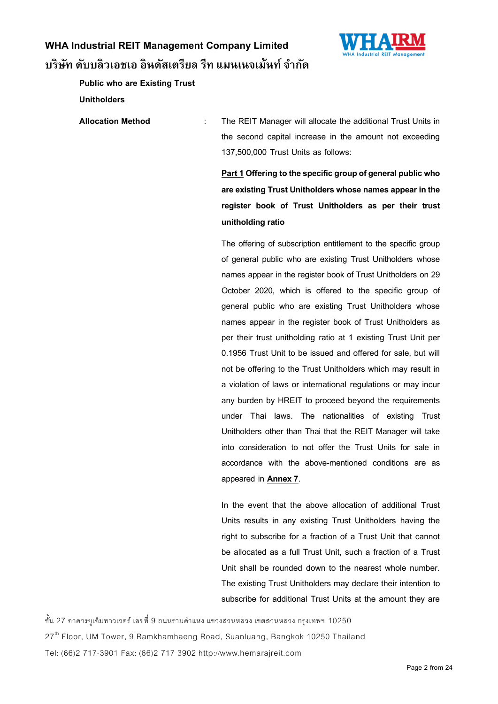

**Public who are Existing Trust** 

**Unitholders**

Allocation Method : The REIT Manager will allocate the additional Trust Units in the second capital increase in the amount not exceeding 137,500,000 Trust Units as follows:

> Part 1 Offering to the specific group of general public who **are existing Trust Unitholders whose names appear in the register book of Trust Unitholders as per their trust unitholding ratio**

> The offering of subscription entitlement to the specific group of general public who are existing Trust Unitholders whose names appear in the register book of Trust Unitholders on 29 October 2020, which is offered to the specific group of general public who are existing Trust Unitholders whose names appear in the register book of Trust Unitholders as per their trust unitholding ratio at 1 existing Trust Unit per 0.1956 Trust Unit to be issued and offered for sale, but will not be offering to the Trust Unitholders which may result in a violation of laws or international regulations or may incur any burden by HREIT to proceed beyond the requirements under Thai laws. The nationalities of existing Trust Unitholders other than Thai that the REIT Manager will take into consideration to not offer the Trust Units for sale in accordance with the above-mentioned conditions are as appeared in **Annex 7**.

> In the event that the above allocation of additional Trust Units results in any existing Trust Unitholders having the right to subscribe for a fraction of a Trust Unit that cannot be allocated as a full Trust Unit, such a fraction of a Trust Unit shall be rounded down to the nearest whole number. The existing Trust Unitholders may declare their intention to subscribe for additional Trust Units at the amount they are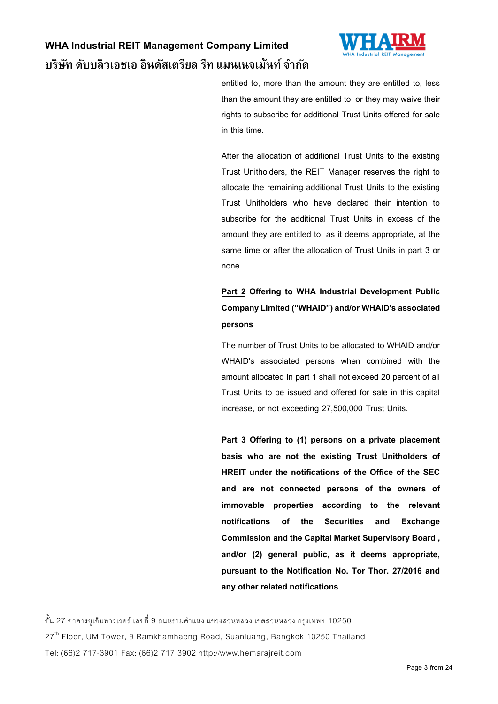

entitled to, more than the amount they are entitled to, less than the amount they are entitled to, or they may waive their rights to subscribe for additional Trust Units offered for sale in this time.

After the allocation of additional Trust Units to the existing Trust Unitholders, the REIT Manager reserves the right to allocate the remaining additional Trust Units to the existing Trust Unitholders who have declared their intention to subscribe for the additional Trust Units in excess of the amount they are entitled to, as it deems appropriate, at the same time or after the allocation of Trust Units in part 3 or none.

### **Part 2 Offering to WHA Industrial Development Public Company Limited ("WHAID") and/or WHAID's associated persons**

The number of Trust Units to be allocated to WHAID and/or WHAID's associated persons when combined with the amount allocated in part 1 shall not exceed 20 percent of all Trust Units to be issued and offered for sale in this capital increase, or not exceeding 27,500,000 Trust Units.

**Part 3 Offering to (1) persons on a private placement basis who are not the existing Trust Unitholders of HREIT under the notifications of the Office of the SEC and are not connected persons of the owners of immovable properties according to the relevant notifications of the Securities and Exchange Commission and the Capital Market Supervisory Board , and/or (2) general public, as it deems appropriate, pursuant to the Notification No. Tor Thor. 27/2016 and any other related notifications**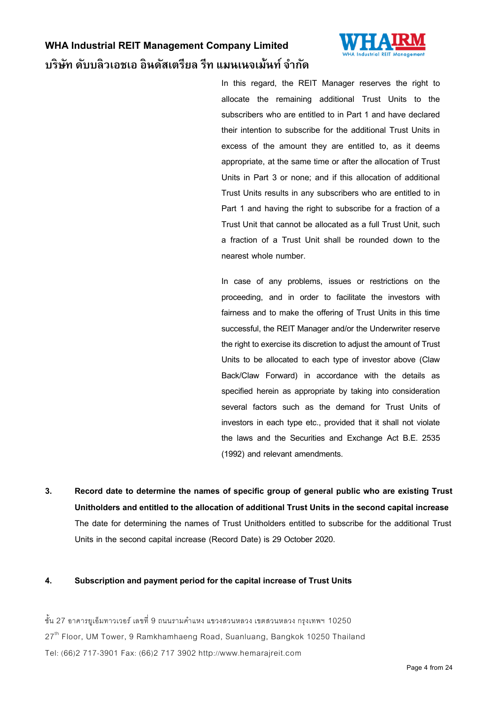

In this regard, the REIT Manager reserves the right to allocate the remaining additional Trust Units to the subscribers who are entitled to in Part 1 and have declared their intention to subscribe for the additional Trust Units in excess of the amount they are entitled to, as it deems appropriate, at the same time or after the allocation of Trust Units in Part 3 or none; and if this allocation of additional Trust Units results in any subscribers who are entitled to in Part 1 and having the right to subscribe for a fraction of a Trust Unit that cannot be allocated as a full Trust Unit, such a fraction of a Trust Unit shall be rounded down to the nearest whole number.

In case of any problems, issues or restrictions on the proceeding, and in order to facilitate the investors with fairness and to make the offering of Trust Units in this time successful, the REIT Manager and/or the Underwriter reserve the right to exercise its discretion to adjust the amount of Trust Units to be allocated to each type of investor above (Claw Back/Claw Forward) in accordance with the details as specified herein as appropriate by taking into consideration several factors such as the demand for Trust Units of investors in each type etc., provided that it shall not violate the laws and the Securities and Exchange Act B.E. 2535 (1992) and relevant amendments.

**3. Record date to determine the names of specific group of general public who are existing Trust Unitholders and entitled to the allocation of additional Trust Units in the second capital increase**  The date for determining the names of Trust Unitholders entitled to subscribe for the additional Trust Units in the second capital increase (Record Date) is 29 October 2020.

#### **4. Subscription and payment period for the capital increase of Trust Units**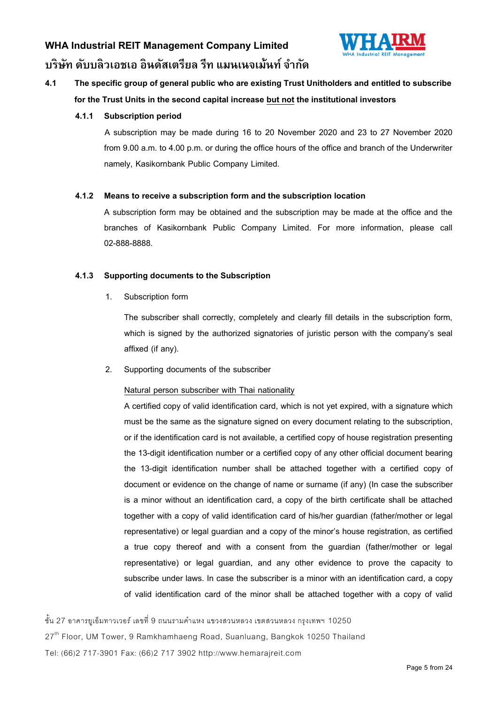

### **4.1 The specific group of general public who are existing Trust Unitholders and entitled to subscribe for the Trust Units in the second capital increasebut not the institutional investors**

#### **4.1.1 Subscription period**

A subscription may be made during 16 to 20 November 2020 and 23 to 27 November 2020 from 9.00 a.m. to 4.00 p.m. or during the office hours of the office and branch of the Underwriter namely, Kasikornbank Public Company Limited.

#### **4.1.2 Means to receive a subscription form and the subscription location**

A subscription form may be obtained and the subscription may be made at the office and the branches of Kasikornbank Public Company Limited. For more information, please call 02-888-8888.

#### **4.1.3 Supporting documents to the Subscription**

1. Subscription form

The subscriber shall correctly, completely and clearly fill details in the subscription form, which is signed by the authorized signatories of juristic person with the company's seal affixed (if any).

2. Supporting documents of the subscriber

### Natural person subscriber with Thai nationality

A certified copy of valid identification card, which is not yet expired, with a signature which must be the same as the signature signed on every document relating to the subscription, or if the identification card is not available, a certified copy of house registration presenting the 13-digit identification number or a certified copy of any other official document bearing the 13-digit identification number shall be attached together with a certified copy of document or evidence on the change of name or surname (if any) (In case the subscriber is a minor without an identification card, a copy of the birth certificate shall be attached together with a copy of valid identification card of his/her guardian (father/mother or legal representative) or legal guardian and a copy of the minor's house registration, as certified a true copy thereof and with a consent from the guardian (father/mother or legal representative) or legal guardian, and any other evidence to prove the capacity to subscribe under laws. In case the subscriber is a minor with an identification card, a copy of valid identification card of the minor shall be attached together with a copy of valid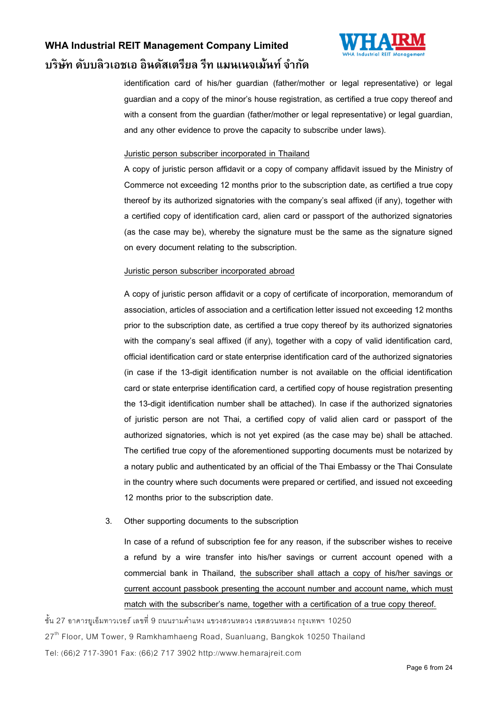

identification card of his/her guardian (father/mother or legal representative) or legal guardian and a copy of the minor's house registration, as certified a true copy thereof and with a consent from the guardian (father/mother or legal representative) or legal guardian, and any other evidence to prove the capacity to subscribe under laws).

#### Juristic person subscriber incorporated in Thailand

A copy of juristic person affidavit or a copy of company affidavit issued by the Ministry of Commerce not exceeding 12 months prior to the subscription date, as certified a true copy thereof by its authorized signatories with the company's seal affixed (if any), together with a certified copy of identification card, alien card or passport of the authorized signatories (as the case may be), whereby the signature must be the same as the signature signed on every document relating to the subscription.

#### Juristic person subscriber incorporated abroad

A copy of juristic person affidavit or a copy of certificate of incorporation, memorandum of association, articles of association and a certification letter issued not exceeding 12 months prior to the subscription date, as certified a true copy thereof by its authorized signatories with the company's seal affixed (if any), together with a copy of valid identification card, official identification card or state enterprise identification card of the authorized signatories (in case if the 13-digit identification number is not available on the official identification card or state enterprise identification card, a certified copy of house registration presenting the 13-digit identification number shall be attached). In case if the authorized signatories of juristic person are not Thai, a certified copy of valid alien card or passport of the authorized signatories, which is not yet expired (as the case may be) shall be attached. The certified true copy of the aforementioned supporting documents must be notarized by a notary public and authenticated by an official of the Thai Embassy or the Thai Consulate in the country where such documents were prepared or certified, and issued not exceeding 12 months prior to the subscription date.

3. Other supporting documents to the subscription

In case of a refund of subscription fee for any reason, if the subscriber wishes to receive a refund by a wire transfer into his/her savings or current account opened with a commercial bank in Thailand, the subscriber shall attach a copy of his/her savings or current account passbook presenting the account number and account name, which must match with the subscriber's name, together with a certification of a true copy thereof.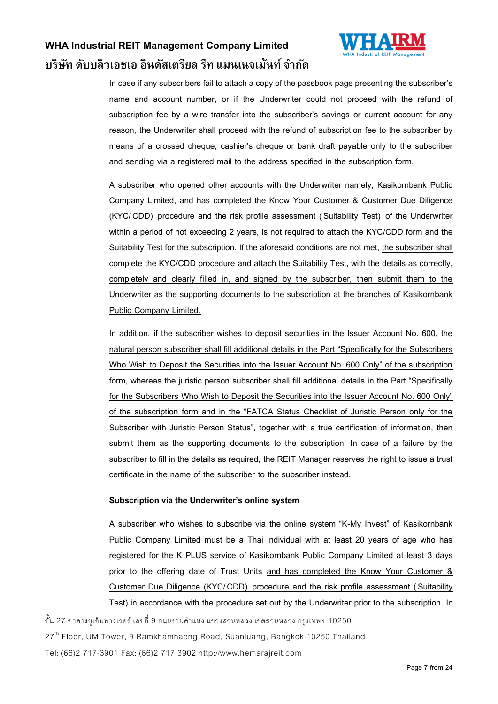

In case if any subscribers fail to attach a copy of the passbook page presenting the subscriber's name and account number, or if the Underwriter could not proceed with the refund of subscription fee by a wire transfer into the subscriber's savings or current account for any reason, the Underwriter shall proceed with the refund of subscription fee to the subscriber by means of a crossed cheque, cashier's cheque or bank draft payable only to the subscriber and sending via a registered mail to the address specified in the subscription form.

A subscriber who opened other accounts with the Underwriter namely, Kasikornbank Public Company Limited, and has completed the Know Your Customer & Customer Due Diligence (KYC/CDD) procedure and the risk profile assessment ( Suitability Test) of the Underwriter within a period of not exceeding 2 years, is not required to attach the KYC/CDD form and the Suitability Test for the subscription. If the aforesaid conditions are not met, the subscriber shall complete the KYC/CDD procedure and attach the Suitability Test, with the details as correctly, completely and clearly filled in, and signed by the subscriber, then submit them to the Underwriter as the supporting documents to the subscription at the branches of Kasikornbank Public Company Limited.

In addition, if the subscriber wishes to deposit securities in the Issuer Account No. 600, the natural person subscriber shall fill additional details in the Part "Specifically for the Subscribers Who Wish to Deposit the Securities into the Issuer Account No. 600 Only" of the subscription form, whereas the juristic person subscriber shall fill additional details in the Part "Specifically for the Subscribers Who Wish to Deposit the Securities into the Issuer Account No. 600 Only" of the subscription form and in the "FATCA Status Checklist of Juristic Person only for the Subscriber with Juristic Person Status", together with a true certification of information, then submit them as the supporting documents to the subscription. In case of a failure by the subscriber to fill in the details as required, the REIT Manager reserves the right to issue a trust certificate in the name of the subscriber to the subscriber instead.

#### **Subscription via the Underwriter's online system**

A subscriber who wishes to subscribe via the online system "K-My Invest" of Kasikornbank Public Company Limited must be a Thai individual with at least 20 years of age who has registered for the K PLUS service of Kasikornbank Public Company Limited at least 3 days prior to the offering date of Trust Units and has completed the Know Your Customer & Customer Due Diligence (KYC/CDD) procedure and the risk profile assessment ( Suitability Test) in accordance with the procedure set out by the Underwriter prior to the subscription. In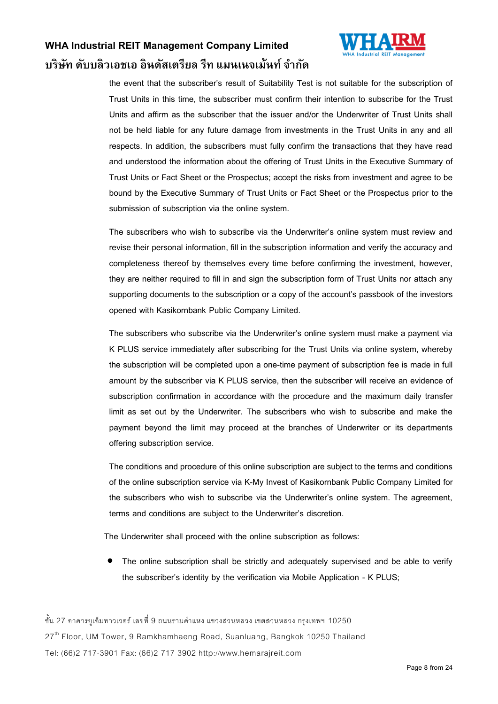

the event that the subscriber's result of Suitability Test is not suitable for the subscription of Trust Units in this time, the subscriber must confirm their intention to subscribe for the Trust Units and affirm as the subscriber that the issuer and/or the Underwriter of Trust Units shall not be held liable for any future damage from investments in the Trust Units in any and all respects. In addition, the subscribers must fully confirm the transactions that they have read and understood the information about the offering of Trust Units in the Executive Summary of Trust Units or Fact Sheet or the Prospectus; accept the risks from investment and agree to be bound by the Executive Summary of Trust Units or Fact Sheet or the Prospectus prior to the submission of subscription via the online system.

The subscribers who wish to subscribe via the Underwriter's online system must review and revise their personal information, fill in the subscription information and verify the accuracy and completeness thereof by themselves every time before confirming the investment, however, they are neither required to fill in and sign the subscription form of Trust Units nor attach any supporting documents to the subscription or a copy of the account's passbook of the investors opened with Kasikornbank Public Company Limited.

The subscribers who subscribe via the Underwriter's online system must make a payment via K PLUS service immediately after subscribing for the Trust Units via online system, whereby the subscription will be completed upon a one-time payment of subscription fee is made in full amount by the subscriber via K PLUS service, then the subscriber will receive an evidence of subscription confirmation in accordance with the procedure and the maximum daily transfer limit as set out by the Underwriter. The subscribers who wish to subscribe and make the payment beyond the limit may proceed at the branches of Underwriter or its departments offering subscription service.

The conditions and procedure of this online subscription are subject to the terms and conditions of the online subscription service via K-My Invest of Kasikornbank Public Company Limited for the subscribers who wish to subscribe via the Underwriter's online system. The agreement, terms and conditions are subject to the Underwriter's discretion.

The Underwriter shall proceed with the online subscription as follows:

 The online subscription shall be strictly and adequately supervised and be able to verify the subscriber's identity by the verification via Mobile Application - K PLUS;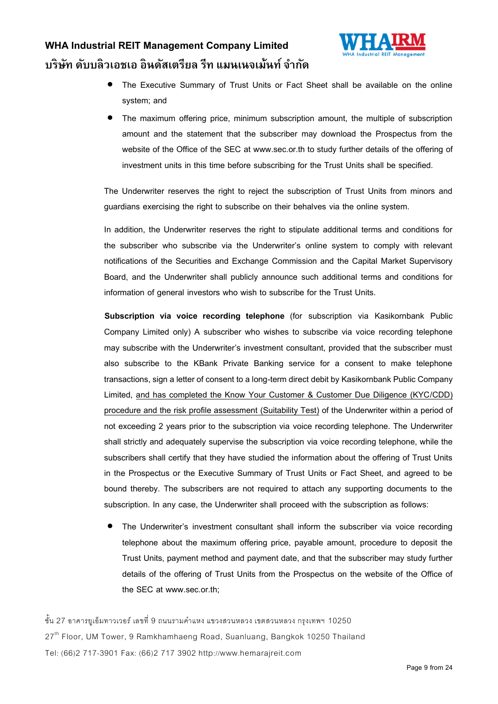



- The Executive Summary of Trust Units or Fact Sheet shall be available on the online system; and
- The maximum offering price, minimum subscription amount, the multiple of subscription amount and the statement that the subscriber may download the Prospectus from the website of the Office of the SEC at www.sec.or.th to study further details of the offering of investment units in this time before subscribing for the Trust Units shall be specified.

The Underwriter reserves the right to reject the subscription of Trust Units from minors and guardians exercising the right to subscribe on their behalves via the online system.

In addition, the Underwriter reserves the right to stipulate additional terms and conditions for the subscriber who subscribe via the Underwriter's online system to comply with relevant notifications of the Securities and Exchange Commission and the Capital Market Supervisory Board, and the Underwriter shall publicly announce such additional terms and conditions for information of general investors who wish to subscribe for the Trust Units.

**Subscription via voice recording telephone** (for subscription via Kasikornbank Public Company Limited only) A subscriber who wishes to subscribe via voice recording telephone may subscribe with the Underwriter's investment consultant, provided that the subscriber must also subscribe to the KBank Private Banking service for a consent to make telephone transactions, sign a letter of consent to a long-term direct debit by Kasikornbank Public Company Limited, and has completed the Know Your Customer & Customer Due Diligence (KYC/CDD) procedure and the risk profile assessment (Suitability Test) of the Underwriter within a period of not exceeding 2 years prior to the subscription via voice recording telephone. The Underwriter shall strictly and adequately supervise the subscription via voice recording telephone, while the subscribers shall certify that they have studied the information about the offering of Trust Units in the Prospectus or the Executive Summary of Trust Units or Fact Sheet, and agreed to be bound thereby. The subscribers are not required to attach any supporting documents to the subscription. In any case, the Underwriter shall proceed with the subscription as follows:

 The Underwriter's investment consultant shall inform the subscriber via voice recording telephone about the maximum offering price, payable amount, procedure to deposit the Trust Units, payment method and payment date, and that the subscriber may study further details of the offering of Trust Units from the Prospectus on the website of the Office of the SEC at www.sec.or.th;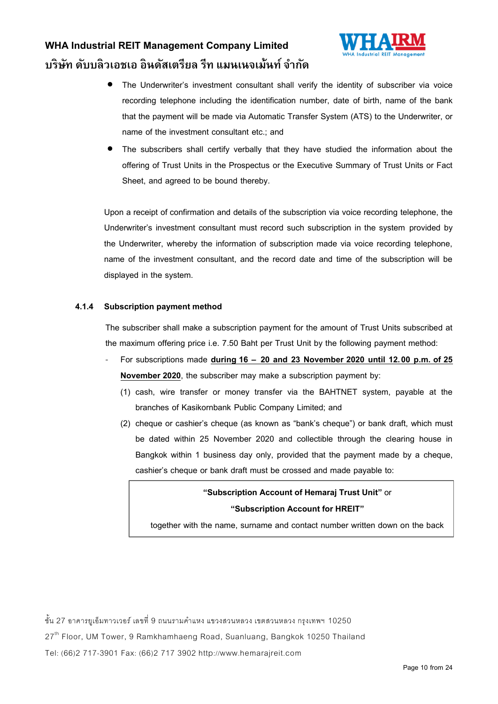

- The Underwriter's investment consultant shall verify the identity of subscriber via voice recording telephone including the identification number, date of birth, name of the bank that the payment will be made via Automatic Transfer System (ATS) to the Underwriter, or name of the investment consultant etc.; and
- The subscribers shall certify verbally that they have studied the information about the offering of Trust Units in the Prospectus or the Executive Summary of Trust Units or Fact Sheet, and agreed to be bound thereby.

Upon a receipt of confirmation and details of the subscription via voice recording telephone, the Underwriter's investment consultant must record such subscription in the system provided by the Underwriter, whereby the information of subscription made via voice recording telephone, name of the investment consultant, and the record date and time of the subscription will be displayed in the system.

#### **4.1.4 Subscription payment method**

The subscriber shall make a subscription payment for the amount of Trust Units subscribed at the maximum offering price i.e. 7.50 Baht per Trust Unit by the following payment method:

- For subscriptions made **during 16 – 20 and 23 November 2020 until 12.00 p.m. of 25 November 2020**, the subscriber may make a subscription payment by:
	- (1) cash, wire transfer or money transfer via the BAHTNET system, payable at the branches of Kasikornbank Public Company Limited; and
	- (2) cheque or cashier's cheque (as known as "bank's cheque") or bank draft, which must be dated within 25 November 2020 and collectible through the clearing house in Bangkok within 1 business day only, provided that the payment made by a cheque, cashier's cheque or bank draft must be crossed and made payable to:

### **"Subscription Account of Hemaraj Trust Unit"** or **"Subscription Account for HREIT"**

together with the name, surname and contact number written down on the back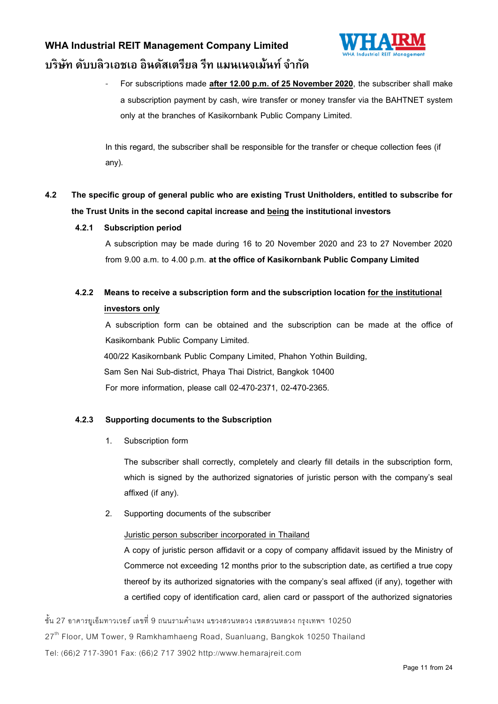

For subscriptions made after 12.00 p.m. of 25 November 2020, the subscriber shall make a subscription payment by cash, wire transfer or money transfer via the BAHTNET system only at the branches of Kasikornbank Public Company Limited.

In this regard, the subscriber shall be responsible for the transfer or cheque collection fees (if any).

### **4.2 The specific group of general public who are existing Trust Unitholders, entitled to subscribe for the Trust Units in the second capital increase andbeingthe institutional investors**

### **4.2.1 Subscription period**

A subscription may be made during 16 to 20 November 2020 and 23 to 27 November 2020 from 9.00 a.m. to 4.00 p.m. **at the office of Kasikornbank Public Company Limited**

### **4.2.2 Means to receive a subscription form and the subscription locationfor the institutional investors only**

A subscription form can be obtained and the subscription can be made at the office of Kasikornbank Public Company Limited. 400/22 Kasikornbank Public Company Limited, Phahon Yothin Building, Sam Sen Nai Sub-district, Phaya Thai District, Bangkok 10400 For more information, please call 02-470-2371, 02-470-2365.

### **4.2.3 Supporting documents to the Subscription**

1. Subscription form

The subscriber shall correctly, completely and clearly fill details in the subscription form, which is signed by the authorized signatories of juristic person with the company's seal affixed (if any).

2. Supporting documents of the subscriber

### Juristic person subscriber incorporated in Thailand

A copy of juristic person affidavit or a copy of company affidavit issued by the Ministry of Commerce not exceeding 12 months prior to the subscription date, as certified a true copy thereof by its authorized signatories with the company's seal affixed (if any), together with a certified copy of identification card, alien card or passport of the authorized signatories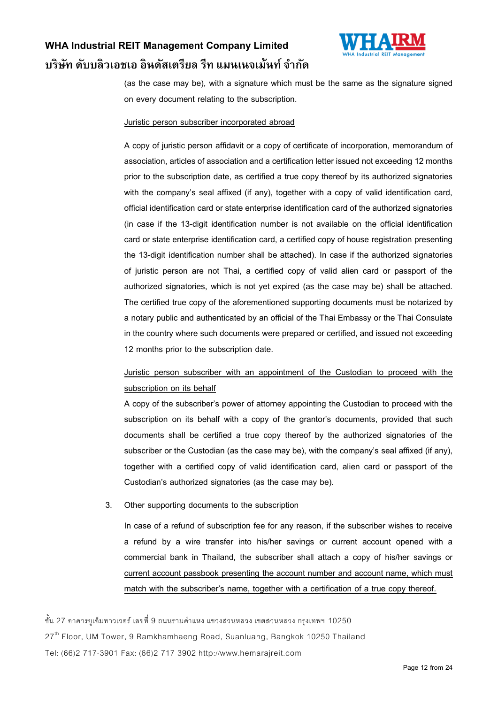

(as the case may be), with a signature which must be the same as the signature signed on every document relating to the subscription.

#### Juristic person subscriber incorporated abroad

A copy of juristic person affidavit or a copy of certificate of incorporation, memorandum of association, articles of association and a certification letter issued not exceeding 12 months prior to the subscription date, as certified a true copy thereof by its authorized signatories with the company's seal affixed (if any), together with a copy of valid identification card, official identification card or state enterprise identification card of the authorized signatories (in case if the 13-digit identification number is not available on the official identification card or state enterprise identification card, a certified copy of house registration presenting the 13-digit identification number shall be attached). In case if the authorized signatories of juristic person are not Thai, a certified copy of valid alien card or passport of the authorized signatories, which is not yet expired (as the case may be) shall be attached. The certified true copy of the aforementioned supporting documents must be notarized by a notary public and authenticated by an official of the Thai Embassy or the Thai Consulate in the country where such documents were prepared or certified, and issued not exceeding 12 months prior to the subscription date.

### Juristic person subscriber with an appointment of the Custodian to proceed with the subscription on its behalf

A copy of the subscriber's power of attorney appointing the Custodian to proceed with the subscription on its behalf with a copy of the grantor's documents, provided that such documents shall be certified a true copy thereof by the authorized signatories of the subscriber or the Custodian (as the case may be), with the company's seal affixed (if any), together with a certified copy of valid identification card, alien card or passport of the Custodian's authorized signatories (as the case may be).

#### 3. Other supporting documents to the subscription

In case of a refund of subscription fee for any reason, if the subscriber wishes to receive a refund by a wire transfer into his/her savings or current account opened with a commercial bank in Thailand, the subscriber shall attach a copy of his/her savings or current account passbook presenting the account number and account name, which must match with the subscriber's name, together with a certification of a true copy thereof.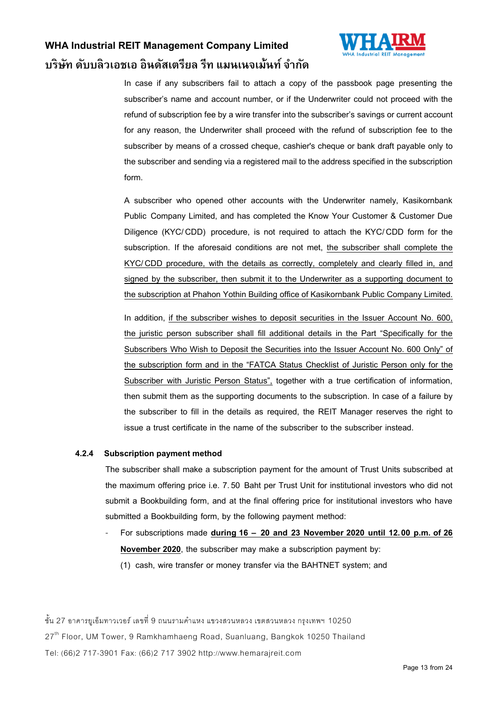

In case if any subscribers fail to attach a copy of the passbook page presenting the subscriber's name and account number, or if the Underwriter could not proceed with the refund of subscription fee by a wire transfer into the subscriber's savings or current account for any reason, the Underwriter shall proceed with the refund of subscription fee to the subscriber by means of a crossed cheque, cashier's cheque or bank draft payable only to the subscriber and sending via a registered mail to the address specified in the subscription form.

A subscriber who opened other accounts with the Underwriter namely, Kasikornbank Public Company Limited, and has completed the Know Your Customer & Customer Due Diligence (KYC/CDD) procedure, is not required to attach the KYC/CDD form for the subscription. If the aforesaid conditions are not met, the subscriber shall complete the KYC/CDD procedure, with the details as correctly, completely and clearly filled in, and signed by the subscriber, then submit it to the Underwriter as a supporting document to the subscription at Phahon Yothin Building office of Kasikornbank Public Company Limited.

In addition, if the subscriber wishes to deposit securities in the Issuer Account No. 600, the juristic person subscriber shall fill additional details in the Part "Specifically for the Subscribers Who Wish to Deposit the Securities into the Issuer Account No. 600 Only" of the subscription form and in the "FATCA Status Checklist of Juristic Person only for the Subscriber with Juristic Person Status", together with a true certification of information, then submit them as the supporting documents to the subscription. In case of a failure by the subscriber to fill in the details as required, the REIT Manager reserves the right to issue a trust certificate in the name of the subscriber to the subscriber instead.

#### **4.2.4 Subscription payment method**

The subscriber shall make a subscription payment for the amount of Trust Units subscribed at the maximum offering price i.e. 7.50 Baht per Trust Unit for institutional investors who did not submit a Bookbuilding form, and at the final offering price for institutional investors who have submitted a Bookbuilding form, by the following payment method:

- For subscriptions made **during 16 – 20 and 23 November 2020 until 12.00 p.m. of 26 November 2020**, the subscriber may make a subscription payment by:
	- (1) cash, wire transfer or money transfer via the BAHTNET system; and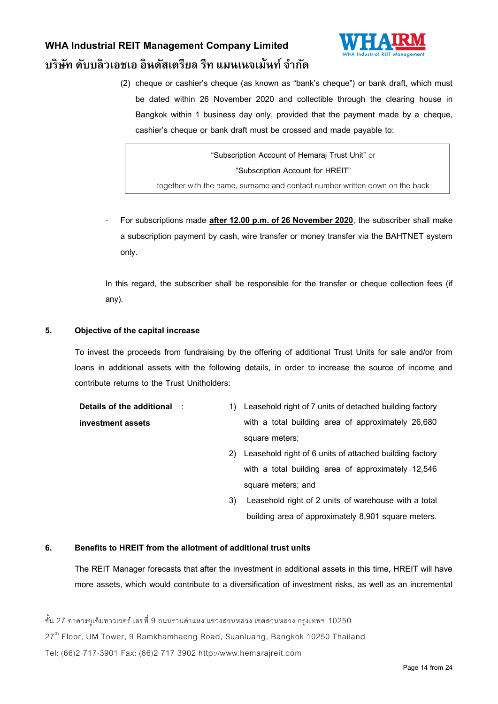

(2) cheque or cashier's cheque (as known as "bank's cheque") or bank draft, which must be dated within 26 November 2020 and collectible through the clearing house in Bangkok within 1 business day only, provided that the payment made by a cheque, cashier's cheque or bank draft must be crossed and made payable to:

**"Subscription Account of Hemaraj Trust Unit"** or **"Subscription Account for HREIT"** together with the name, surname and contact number written down on the back

For subscriptions made after 12.00 p.m. of 26 November 2020, the subscriber shall make a subscription payment by cash, wire transfer or money transfer via the BAHTNET system only.

In this regard, the subscriber shall be responsible for the transfer or cheque collection fees (if any).

#### **5. Objective of the capital increase**

To invest the proceeds from fundraising by the offering of additional Trust Units for sale and/or from loans in additional assets with the following details, in order to increase the source of income and contribute returns to the Trust Unitholders:

| Details of the additional and | 1) Leasehold right of 7 units of detached building factory |  |  |
|-------------------------------|------------------------------------------------------------|--|--|
| investment assets             | with a total building area of approximately 26,680         |  |  |
|                               | square meters;                                             |  |  |

- 2) Leasehold right of 6 units of attached building factory with a total building area of approximately 12,546 square meters; and
- 3) Leasehold right of 2 units of warehouse with a total building area of approximately 8,901 square meters.

#### **6. Benefits to HREIT from the allotment of additional trust units**

The REIT Manager forecasts that after the investment in additional assets in this time, HREIT will have more assets, which would contribute to a diversification of investment risks, as well as an incremental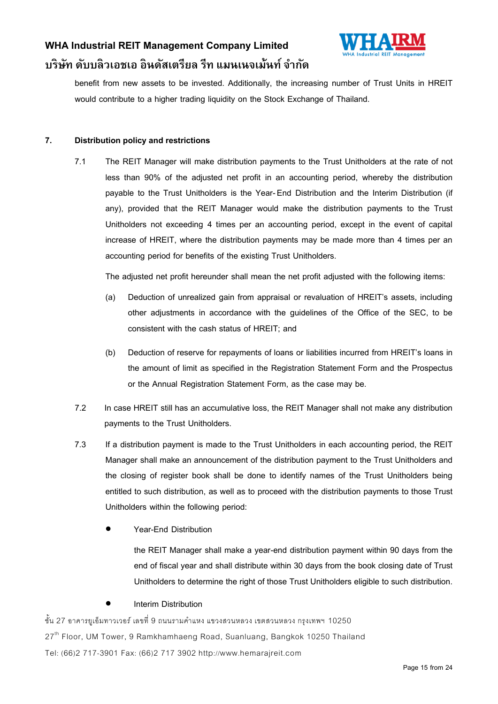

benefit from new assets to be invested. Additionally, the increasing number of Trust Units in HREIT would contribute to a higher trading liquidity on the Stock Exchange of Thailand.

#### **7. Distribution policy and restrictions**

7.1 The REIT Manager will make distribution payments to the Trust Unitholders at the rate of not less than 90% of the adjusted net profit in an accounting period, whereby the distribution payable to the Trust Unitholders is the Year- End Distribution and the Interim Distribution (if any), provided that the REIT Manager would make the distribution payments to the Trust Unitholders not exceeding 4 times per an accounting period, except in the event of capital increase of HREIT, where the distribution payments may be made more than 4 times per an accounting period for benefits of the existing Trust Unitholders.

The adjusted net profit hereunder shall mean the net profit adjusted with the following items:

- (a) Deduction of unrealized gain from appraisal or revaluation of HREIT's assets, including other adjustments in accordance with the guidelines of the Office of the SEC, to be consistent with the cash status of HREIT; and
- (b) Deduction of reserve for repayments of loans or liabilities incurred from HREIT's loans in the amount of limit as specified in the Registration Statement Form and the Prospectus or the Annual Registration Statement Form, as the case may be.
- 7.2 In case HREIT still has an accumulative loss, the REIT Manager shall not make any distribution payments to the Trust Unitholders.
- 7.3 If a distribution payment is made to the Trust Unitholders in each accounting period, the REIT Manager shall make an announcement of the distribution payment to the Trust Unitholders and the closing of register book shall be done to identify names of the Trust Unitholders being entitled to such distribution, as well as to proceed with the distribution payments to those Trust Unitholders within the following period:
	- Year-End Distribution

the REIT Manager shall make a year-end distribution payment within 90 days from the end of fiscal year and shall distribute within 30 days from the book closing date of Trust Unitholders to determine the right of those Trust Unitholders eligible to such distribution.

### Interim Distribution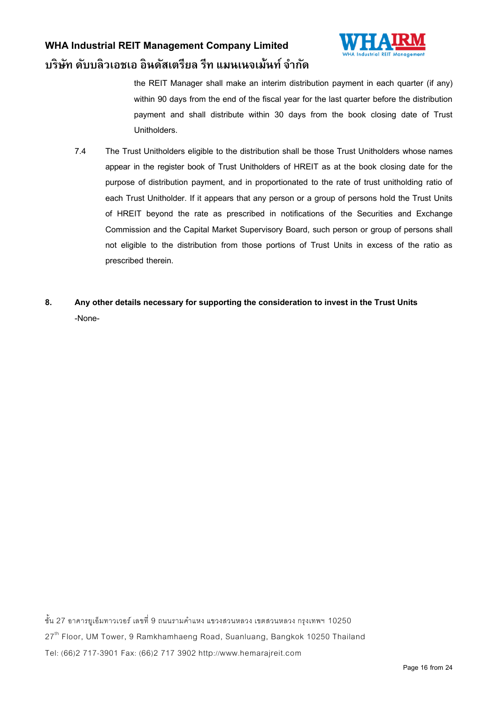

the REIT Manager shall make an interim distribution payment in each quarter (if any) within 90 days from the end of the fiscal year for the last quarter before the distribution payment and shall distribute within 30 days from the book closing date of Trust Unitholders.

- 7.4 The Trust Unitholders eligible to the distribution shall be those Trust Unitholders whose names appear in the register book of Trust Unitholders of HREIT as at the book closing date for the purpose of distribution payment, and in proportionated to the rate of trust unitholding ratio of each Trust Unitholder. If it appears that any person or a group of persons hold the Trust Units of HREIT beyond the rate as prescribed in notifications of the Securities and Exchange Commission and the Capital Market Supervisory Board, such person or group of persons shall not eligible to the distribution from those portions of Trust Units in excess of the ratio as prescribed therein.
- **8. Any other details necessary for supporting the consideration to invest in the Trust Units**  -None-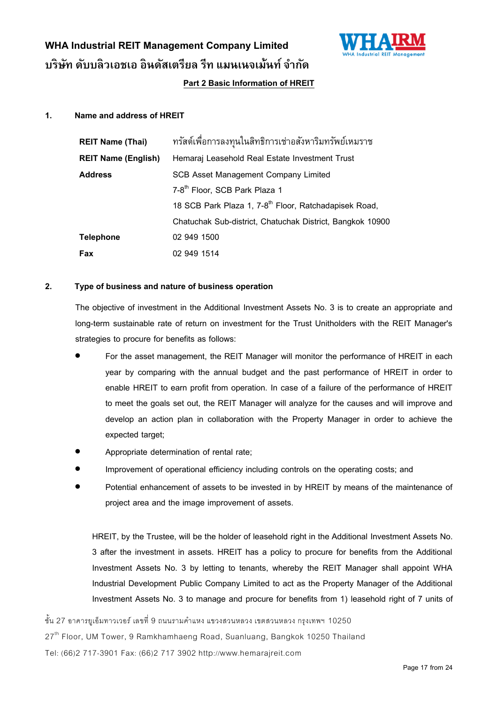

### **Part 2 Basic Information of HREIT**

#### **1. Name and address of HREIT**

| <b>REIT Name (Thai)</b>    | ทรัสต์เพื่อการลงทุนในสิทธิการเช่าอสังหาริมทรัพย์เหมราช            |  |  |  |
|----------------------------|-------------------------------------------------------------------|--|--|--|
| <b>REIT Name (English)</b> | Hemaraj Leasehold Real Estate Investment Trust                    |  |  |  |
| <b>Address</b>             | <b>SCB Asset Management Company Limited</b>                       |  |  |  |
|                            | 7-8 <sup>th</sup> Floor, SCB Park Plaza 1                         |  |  |  |
|                            | 18 SCB Park Plaza 1, 7-8 <sup>th</sup> Floor, Ratchadapisek Road, |  |  |  |
|                            | Chatuchak Sub-district, Chatuchak District, Bangkok 10900         |  |  |  |
| <b>Telephone</b>           | 02 949 1500                                                       |  |  |  |
| Fax                        | 02 949 1514                                                       |  |  |  |

#### **2. Type of business and nature of business operation**

The objective of investment in the Additional Investment Assets No. 3 is to create an appropriate and long-term sustainable rate of return on investment for the Trust Unitholders with the REIT Manager's strategies to procure for benefits as follows:

- For the asset management, the REIT Manager will monitor the performance of HREIT in each year by comparing with the annual budget and the past performance of HREIT in order to enable HREIT to earn profit from operation. In case of a failure of the performance of HREIT to meet the goals set out, the REIT Manager will analyze for the causes and will improve and develop an action plan in collaboration with the Property Manager in order to achieve the expected target;
- Appropriate determination of rental rate;
- Improvement of operational efficiency including controls on the operating costs; and
- Potential enhancement of assets to be invested in by HREIT by means of the maintenance of project area and the image improvement of assets.

HREIT, by the Trustee, will be the holder of leasehold right in the Additional Investment Assets No. 3 after the investment in assets. HREIT has a policy to procure for benefits from the Additional Investment Assets No. 3 by letting to tenants, whereby the REIT Manager shall appoint WHA Industrial Development Public Company Limited to act as the Property Manager of the Additional Investment Assets No. 3 to manage and procure for benefits from 1) leasehold right of 7 units of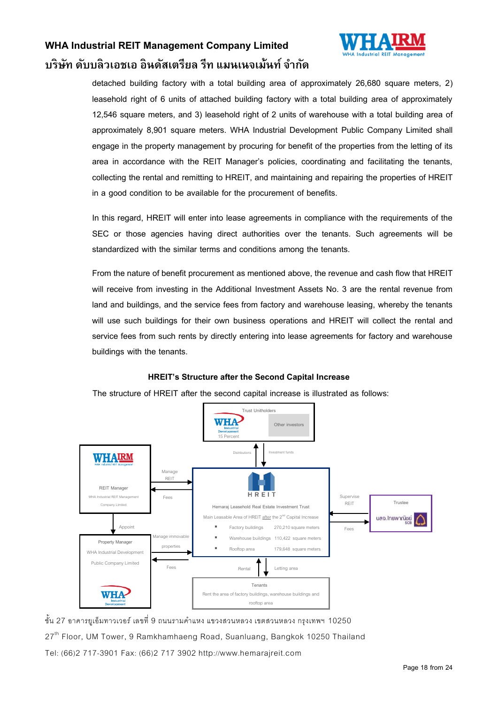

detached building factory with a total building area of approximately 26,680 square meters, 2) leasehold right of 6 units of attached building factory with a total building area of approximately 12,546 square meters, and 3) leasehold right of 2 units of warehouse with a total building area of approximately 8,901 square meters. WHA Industrial Development Public Company Limited shall engage in the property management by procuring for benefit of the properties from the letting of its area in accordance with the REIT Manager's policies, coordinating and facilitating the tenants, collecting the rental and remitting to HREIT, and maintaining and repairing the properties of HREIT in a good condition to be available for the procurement of benefits.

In this regard, HREIT will enter into lease agreements in compliance with the requirements of the SEC or those agencies having direct authorities over the tenants. Such agreements will be standardized with the similar terms and conditions among the tenants.

From the nature of benefit procurement as mentioned above, the revenue and cash flow that HREIT will receive from investing in the Additional Investment Assets No. 3 are the rental revenue from land and buildings, and the service fees from factory and warehouse leasing, whereby the tenants will use such buildings for their own business operations and HREIT will collect the rental and service fees from such rents by directly entering into lease agreements for factory and warehouse buildings with the tenants.

#### **HREIT's Structure after the Second Capital Increase**

The structure of HREIT after the second capital increase is illustrated as follows:

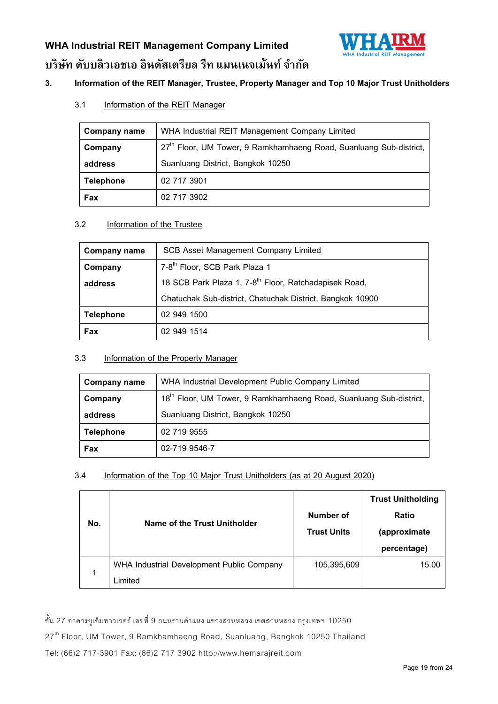

### **3. Information of the REIT Manager,Trustee, Property Manager and Top 10 Major Trust Unitholders**

3.1 Information of the REIT Manager

| <b>Company name</b> | WHA Industrial REIT Management Company Limited                                 |
|---------------------|--------------------------------------------------------------------------------|
| Company             | 27 <sup>th</sup> Floor, UM Tower, 9 Ramkhamhaeng Road, Suanluang Sub-district, |
| address             | Suanluang District, Bangkok 10250                                              |
| <b>Telephone</b>    | 02 717 3901                                                                    |
| Fax                 | 02 717 3902                                                                    |

### 3.2 Information of the Trustee

| <b>Company name</b> | <b>SCB Asset Management Company Limited</b>                       |  |
|---------------------|-------------------------------------------------------------------|--|
| Company             | 7-8 <sup>th</sup> Floor, SCB Park Plaza 1                         |  |
| address             | 18 SCB Park Plaza 1, 7-8 <sup>th</sup> Floor, Ratchadapisek Road, |  |
|                     | Chatuchak Sub-district, Chatuchak District, Bangkok 10900         |  |
| <b>Telephone</b>    | 02 949 1500                                                       |  |
| Fax                 | 02 949 1514                                                       |  |

### 3.3 Information of the Property Manager

| <b>Company name</b> | WHA Industrial Development Public Company Limited                              |  |  |
|---------------------|--------------------------------------------------------------------------------|--|--|
| Company             | 18 <sup>th</sup> Floor, UM Tower, 9 Ramkhamhaeng Road, Suanluang Sub-district, |  |  |
| address             | Suanluang District, Bangkok 10250                                              |  |  |
| <b>Telephone</b>    | 02 719 9555                                                                    |  |  |
| Fax                 | 02-719 9546-7                                                                  |  |  |

### 3.4 Information of the Top 10 Major Trust Unitholders (as at 20 August 2020)

| No. | Name of the Trust Unitholder              | Number of<br><b>Trust Units</b> | <b>Trust Unitholding</b><br><b>Ratio</b><br>(approximate<br>percentage) |
|-----|-------------------------------------------|---------------------------------|-------------------------------------------------------------------------|
| 1   | WHA Industrial Development Public Company | 105,395,609                     | 15.00                                                                   |
|     | ∟imited                                   |                                 |                                                                         |

ชั้น 27 อาคารยูเอ็มทาวเวอร์ เลขที่ 9 ถนนรามคำแหง แขวงสวนหลวง เขตสวนหลวง กรุงเทพฯ 10250

27<sup>th</sup> Floor, UM Tower, 9 Ramkhamhaeng Road, Suanluang, Bangkok 10250 Thailand

Tel: (66)2 717-3901 Fax: (66)2 717 3902 http://www.hemarajreit.com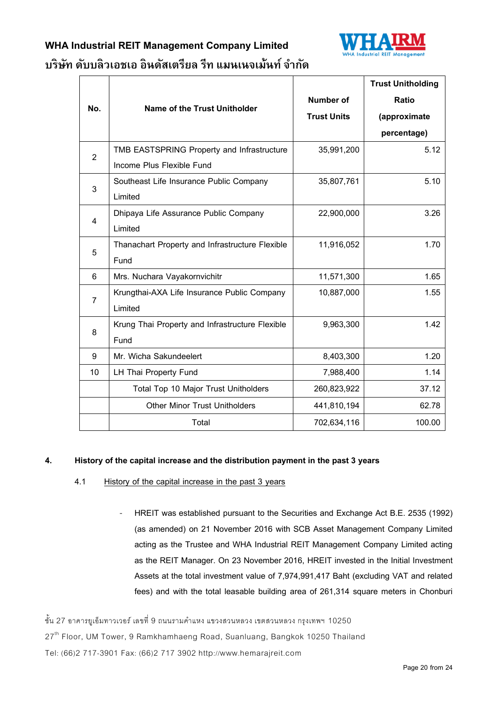

### **WHA Industrial REIT Management Company Limited**

# **บริษทั ดบับลิวเอชเอ อินดสัเตรียล รีท แมนเนจเม้นท ์ จำ กดั**

|                |                                                 |                    | <b>Trust Unitholding</b> |
|----------------|-------------------------------------------------|--------------------|--------------------------|
| No.            | <b>Name of the Trust Unitholder</b>             | <b>Number of</b>   | <b>Ratio</b>             |
|                |                                                 | <b>Trust Units</b> | (approximate             |
|                |                                                 |                    | percentage)              |
| $\overline{2}$ | TMB EASTSPRING Property and Infrastructure      | 35,991,200         | 5.12                     |
|                | Income Plus Flexible Fund                       |                    |                          |
| 3              | Southeast Life Insurance Public Company         | 35,807,761         | 5.10                     |
|                | Limited                                         |                    |                          |
| 4              | Dhipaya Life Assurance Public Company           | 22,900,000         | 3.26                     |
|                | Limited                                         |                    |                          |
| 5              | Thanachart Property and Infrastructure Flexible | 11,916,052         | 1.70                     |
|                | Fund                                            |                    |                          |
| 6              | Mrs. Nuchara Vayakornvichitr                    | 11,571,300         | 1.65                     |
| $\overline{7}$ | Krungthai-AXA Life Insurance Public Company     | 10,887,000         | 1.55                     |
|                | Limited                                         |                    |                          |
| 8              | Krung Thai Property and Infrastructure Flexible | 9,963,300          | 1.42                     |
|                | Fund                                            |                    |                          |
| 9              | Mr. Wicha Sakundeelert                          | 8,403,300          | 1.20                     |
| 10             | <b>LH Thai Property Fund</b>                    | 7,988,400          | 1.14                     |
|                | Total Top 10 Major Trust Unitholders            | 260,823,922        | 37.12                    |
|                | <b>Other Minor Trust Unitholders</b>            | 441,810,194        | 62.78                    |
|                | Total                                           | 702,634,116        | 100.00                   |

### **4. History of the capital increase and the distribution payment in the past 3 years**

- 4.1 History of the capital increase in the past 3 years
	- HREIT was established pursuant to the Securities and Exchange Act B.E. 2535 (1992) (as amended) on 21 November 2016 with SCB Asset Management Company Limited acting as the Trustee and WHA Industrial REIT Management Company Limited acting as the REIT Manager. On 23 November 2016, HREIT invested in the Initial Investment Assets at the total investment value of 7,974,991,417 Baht (excluding VAT and related fees) and with the total leasable building area of 261,314 square meters in Chonburi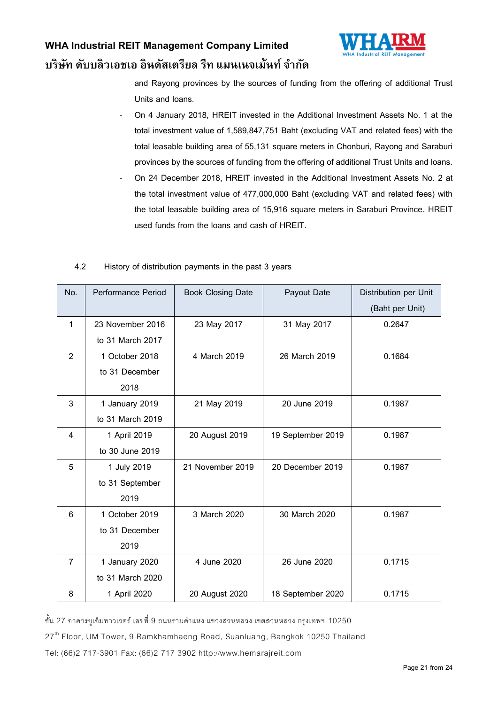

and Rayong provinces by the sources of funding from the offering of additional Trust Units and loans.

- On 4 January 2018, HREIT invested in the Additional Investment Assets No. 1 at the total investment value of 1,589,847,751 Baht (excluding VAT and related fees) with the total leasable building area of 55,131 square meters in Chonburi, Rayong and Saraburi provinces by the sources of funding from the offering of additional Trust Units and loans.
- On 24 December 2018, HREIT invested in the Additional Investment Assets No. 2 at the total investment value of 477,000,000 Baht (excluding VAT and related fees) with the total leasable building area of 15,916 square meters in Saraburi Province. HREIT used funds from the loans and cash of HREIT.

#### 4.2 History of distribution payments in the past 3 years

| No.            | Performance Period | <b>Book Closing Date</b> | Payout Date       | Distribution per Unit |
|----------------|--------------------|--------------------------|-------------------|-----------------------|
|                |                    |                          |                   | (Baht per Unit)       |
| $\mathbf{1}$   | 23 November 2016   | 23 May 2017              | 31 May 2017       | 0.2647                |
|                | to 31 March 2017   |                          |                   |                       |
| $\overline{2}$ | 1 October 2018     | 4 March 2019             | 26 March 2019     | 0.1684                |
|                | to 31 December     |                          |                   |                       |
|                | 2018               |                          |                   |                       |
| 3              | 1 January 2019     | 21 May 2019              | 20 June 2019      | 0.1987                |
|                | to 31 March 2019   |                          |                   |                       |
| 4              | 1 April 2019       | 20 August 2019           | 19 September 2019 | 0.1987                |
|                | to 30 June 2019    |                          |                   |                       |
| 5              | 1 July 2019        | 21 November 2019         | 20 December 2019  | 0.1987                |
|                | to 31 September    |                          |                   |                       |
|                | 2019               |                          |                   |                       |
| 6              | 1 October 2019     | 3 March 2020             | 30 March 2020     | 0.1987                |
|                | to 31 December     |                          |                   |                       |
|                | 2019               |                          |                   |                       |
| 7              | 1 January 2020     | 4 June 2020              | 26 June 2020      | 0.1715                |
|                | to 31 March 2020   |                          |                   |                       |
| 8              | 1 April 2020       | 20 August 2020           | 18 September 2020 | 0.1715                |

ชั้น 27 อาคารยเอ็มทาวเวอร์ เลขที่ 9 ถนนรามคำแหง แขวงสวนหลวง เขตสวนหลวง กรุงเทพฯ 10250

27<sup>th</sup> Floor, UM Tower, 9 Ramkhamhaeng Road, Suanluang, Bangkok 10250 Thailand

Tel: (66)2 717-3901 Fax: (66)2 717 3902 http://www.hemarajreit.com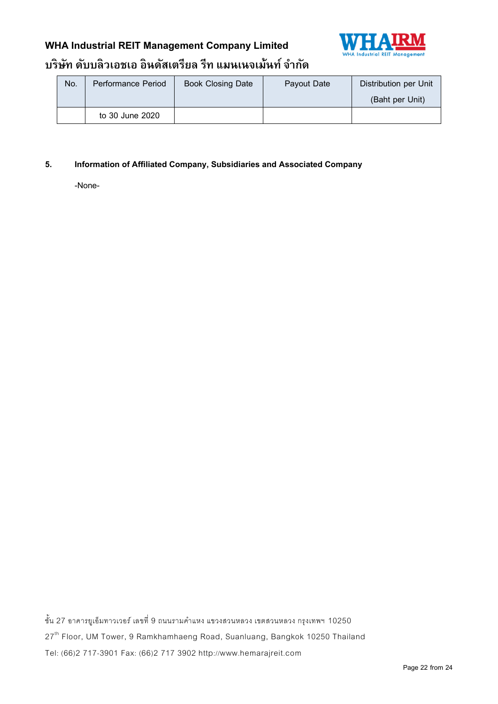## **WHA Industrial REIT Management Company Limited**



## **บริษทั ดบับลิวเอชเอ อินดสัเตรียล รีท แมนเนจเม้นท ์ จำ กดั**

| No. | Performance Period | <b>Book Closing Date</b> | Payout Date | Distribution per Unit |  |
|-----|--------------------|--------------------------|-------------|-----------------------|--|
|     |                    |                          |             | (Baht per Unit)       |  |
|     | to 30 June 2020    |                          |             |                       |  |

### **5. Information of Affiliated Company, Subsidiaries and Associated Company**

-None-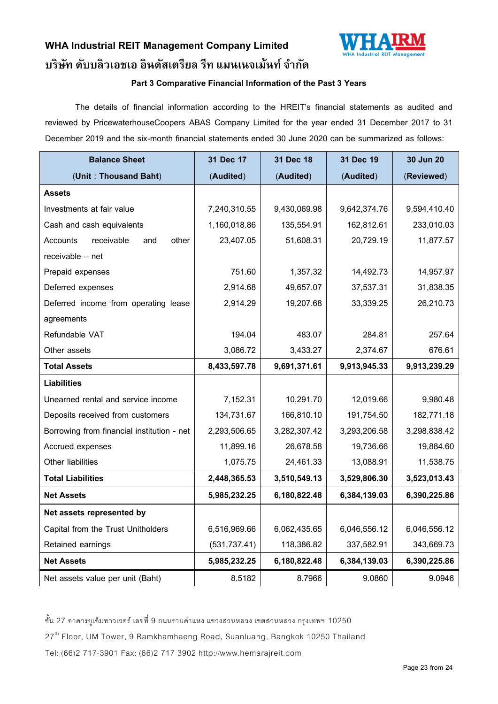

### **Part 3 Comparative Financial Information of the Past 3 Years**

The details of financial information according to the HREIT's financial statements as audited and reviewed by PricewaterhouseCoopers ABAS Company Limited for the year ended 31 December 2017 to 31 December 2019 and the six-month financial statements ended 30 June 2020 can be summarized as follows:

| <b>Balance Sheet</b>                       | 31 Dec 17     | 31 Dec 18    | 31 Dec 19    | 30 Jun 20    |
|--------------------------------------------|---------------|--------------|--------------|--------------|
| (Unit: Thousand Baht)                      | (Audited)     | (Audited)    | (Audited)    | (Reviewed)   |
| <b>Assets</b>                              |               |              |              |              |
| Investments at fair value                  | 7,240,310.55  | 9,430,069.98 | 9,642,374.76 | 9,594,410.40 |
| Cash and cash equivalents                  | 1,160,018.86  | 135,554.91   | 162,812.61   | 233,010.03   |
| receivable<br>Accounts<br>other<br>and     | 23,407.05     | 51,608.31    | 20,729.19    | 11,877.57    |
| receivable - net                           |               |              |              |              |
| Prepaid expenses                           | 751.60        | 1,357.32     | 14,492.73    | 14,957.97    |
| Deferred expenses                          | 2,914.68      | 49,657.07    | 37,537.31    | 31,838.35    |
| Deferred income from operating lease       | 2,914.29      | 19,207.68    | 33,339.25    | 26,210.73    |
| agreements                                 |               |              |              |              |
| Refundable VAT                             | 194.04        | 483.07       | 284.81       | 257.64       |
| Other assets                               | 3,086.72      | 3,433.27     | 2,374.67     | 676.61       |
| <b>Total Assets</b>                        | 8,433,597.78  | 9,691,371.61 | 9,913,945.33 | 9,913,239.29 |
| <b>Liabilities</b>                         |               |              |              |              |
| Unearned rental and service income         | 7,152.31      | 10,291.70    | 12,019.66    | 9,980.48     |
| Deposits received from customers           | 134,731.67    | 166,810.10   | 191,754.50   | 182,771.18   |
| Borrowing from financial institution - net | 2,293,506.65  | 3,282,307.42 | 3,293,206.58 | 3,298,838.42 |
| Accrued expenses                           | 11,899.16     | 26,678.58    | 19,736.66    | 19,884.60    |
| Other liabilities                          | 1,075.75      | 24,461.33    | 13,088.91    | 11,538.75    |
| <b>Total Liabilities</b>                   | 2,448,365.53  | 3,510,549.13 | 3,529,806.30 | 3,523,013.43 |
| <b>Net Assets</b>                          | 5,985,232.25  | 6,180,822.48 | 6,384,139.03 | 6,390,225.86 |
| Net assets represented by                  |               |              |              |              |
| Capital from the Trust Unitholders         | 6,516,969.66  | 6,062,435.65 | 6,046,556.12 | 6,046,556.12 |
| Retained earnings                          | (531, 737.41) | 118,386.82   | 337,582.91   | 343,669.73   |
| <b>Net Assets</b>                          | 5,985,232.25  | 6,180,822.48 | 6,384,139.03 | 6,390,225.86 |
| Net assets value per unit (Baht)           | 8.5182        | 8.7966       | 9.0860       | 9.0946       |